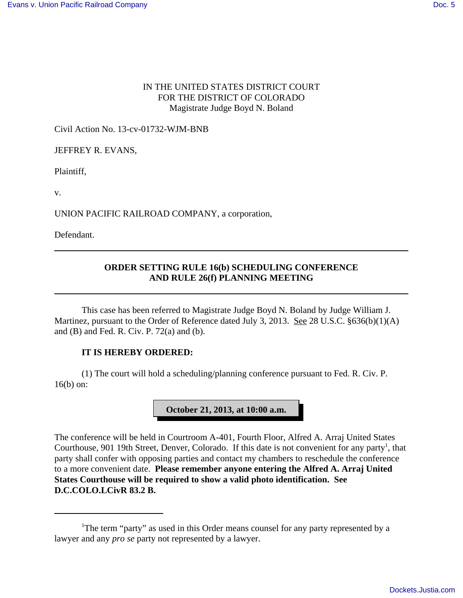### IN THE UNITED STATES DISTRICT COURT FOR THE DISTRICT OF COLORADO Magistrate Judge Boyd N. Boland

Civil Action No. 13-cv-01732-WJM-BNB

JEFFREY R. EVANS,

Plaintiff,

v.

UNION PACIFIC RAILROAD COMPANY, a corporation,

Defendant.

## **ORDER SETTING RULE 16(b) SCHEDULING CONFERENCE AND RULE 26(f) PLANNING MEETING**

This case has been referred to Magistrate Judge Boyd N. Boland by Judge William J. Martinez, pursuant to the Order of Reference dated July 3, 2013. See 28 U.S.C. §636(b)(1)(A) and (B) and Fed. R. Civ. P. 72(a) and (b).

#### **IT IS HEREBY ORDERED:**

(1) The court will hold a scheduling/planning conference pursuant to Fed. R. Civ. P. 16(b) on:

## **October 21, 2013, at 10:00 a.m.**

The conference will be held in Courtroom A-401, Fourth Floor, Alfred A. Arraj United States Courthouse, 901 19th Street, Denver, Colorado. If this date is not convenient for any party<sup>1</sup>, that party shall confer with opposing parties and contact my chambers to reschedule the conference to a more convenient date. **Please remember anyone entering the Alfred A. Arraj United States Courthouse will be required to show a valid photo identification. See D.C.COLO.LCivR 83.2 B.**

<sup>&</sup>lt;sup>1</sup>The term "party" as used in this Order means counsel for any party represented by a lawyer and any *pro se* party not represented by a lawyer.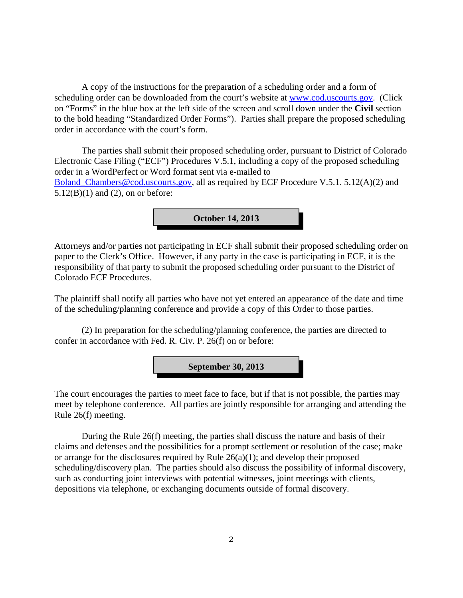A copy of the instructions for the preparation of a scheduling order and a form of scheduling order can be downloaded from the court's website at www.cod.uscourts.gov. (Click on "Forms" in the blue box at the left side of the screen and scroll down under the **Civil** section to the bold heading "Standardized Order Forms"). Parties shall prepare the proposed scheduling order in accordance with the court's form.

The parties shall submit their proposed scheduling order, pursuant to District of Colorado Electronic Case Filing ("ECF") Procedures V.5.1, including a copy of the proposed scheduling order in a WordPerfect or Word format sent via e-mailed to Boland\_Chambers@cod.uscourts.gov, all as required by ECF Procedure V.5.1. 5.12(A)(2) and  $5.12(B)(1)$  and  $(2)$ , on or before:

**October 14, 2013**

Attorneys and/or parties not participating in ECF shall submit their proposed scheduling order on paper to the Clerk's Office. However, if any party in the case is participating in ECF, it is the responsibility of that party to submit the proposed scheduling order pursuant to the District of Colorado ECF Procedures.

The plaintiff shall notify all parties who have not yet entered an appearance of the date and time of the scheduling/planning conference and provide a copy of this Order to those parties.

(2) In preparation for the scheduling/planning conference, the parties are directed to confer in accordance with Fed. R. Civ. P. 26(f) on or before:

**September 30, 2013**

The court encourages the parties to meet face to face, but if that is not possible, the parties may meet by telephone conference. All parties are jointly responsible for arranging and attending the Rule 26(f) meeting.

During the Rule 26(f) meeting, the parties shall discuss the nature and basis of their claims and defenses and the possibilities for a prompt settlement or resolution of the case; make or arrange for the disclosures required by Rule 26(a)(1); and develop their proposed scheduling/discovery plan. The parties should also discuss the possibility of informal discovery, such as conducting joint interviews with potential witnesses, joint meetings with clients, depositions via telephone, or exchanging documents outside of formal discovery.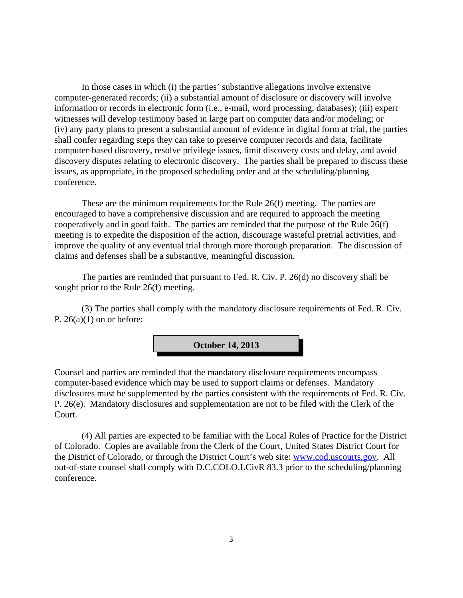In those cases in which (i) the parties' substantive allegations involve extensive computer-generated records; (ii) a substantial amount of disclosure or discovery will involve information or records in electronic form (i.e., e-mail, word processing, databases); (iii) expert witnesses will develop testimony based in large part on computer data and/or modeling; or (iv) any party plans to present a substantial amount of evidence in digital form at trial, the parties shall confer regarding steps they can take to preserve computer records and data, facilitate computer-based discovery, resolve privilege issues, limit discovery costs and delay, and avoid discovery disputes relating to electronic discovery. The parties shall be prepared to discuss these issues, as appropriate, in the proposed scheduling order and at the scheduling/planning conference.

These are the minimum requirements for the Rule 26(f) meeting. The parties are encouraged to have a comprehensive discussion and are required to approach the meeting cooperatively and in good faith. The parties are reminded that the purpose of the Rule 26(f) meeting is to expedite the disposition of the action, discourage wasteful pretrial activities, and improve the quality of any eventual trial through more thorough preparation. The discussion of claims and defenses shall be a substantive, meaningful discussion.

The parties are reminded that pursuant to Fed. R. Civ. P. 26(d) no discovery shall be sought prior to the Rule 26(f) meeting.

(3) The parties shall comply with the mandatory disclosure requirements of Fed. R. Civ. P.  $26(a)(1)$  on or before:



Counsel and parties are reminded that the mandatory disclosure requirements encompass computer-based evidence which may be used to support claims or defenses. Mandatory disclosures must be supplemented by the parties consistent with the requirements of Fed. R. Civ. P. 26(e). Mandatory disclosures and supplementation are not to be filed with the Clerk of the Court.

(4) All parties are expected to be familiar with the Local Rules of Practice for the District of Colorado. Copies are available from the Clerk of the Court, United States District Court for the District of Colorado, or through the District Court's web site: www.cod.uscourts.gov. All out-of-state counsel shall comply with D.C.COLO.LCivR 83.3 prior to the scheduling/planning conference.